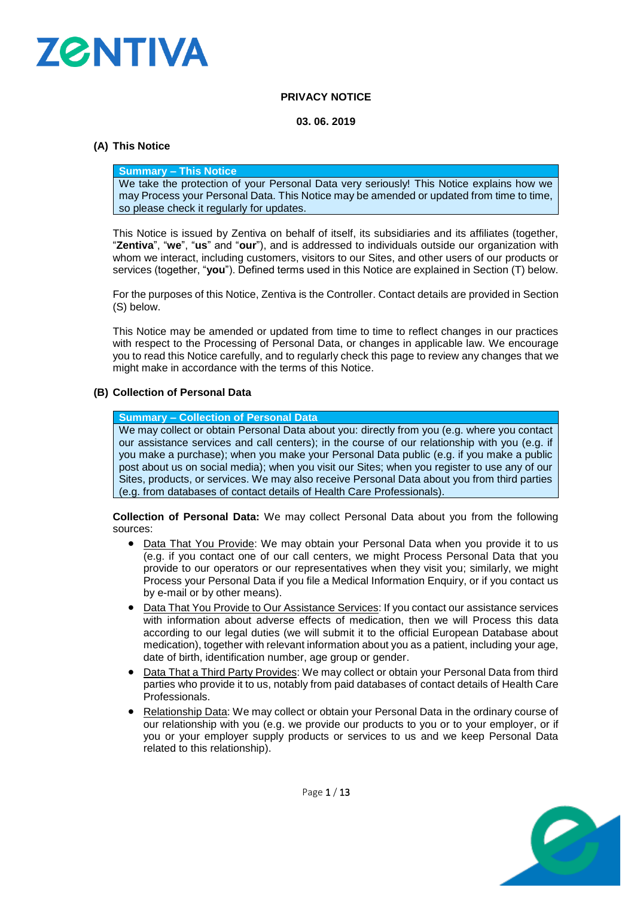

# **PRIVACY NOTICE**

## **03. 06. 2019**

# **(A) This Notice**

## **Summary – This Notice**

We take the protection of your Personal Data very seriously! This Notice explains how we may Process your Personal Data. This Notice may be amended or updated from time to time, so please check it regularly for updates.

This Notice is issued by Zentiva on behalf of itself, its subsidiaries and its affiliates (together, "**Zentiva**", "**we**", "**us**" and "**our**"), and is addressed to individuals outside our organization with whom we interact, including customers, visitors to our Sites, and other users of our products or services (together, "**you**"). Defined terms used in this Notice are explained in Section [\(T\)](#page-11-0) below.

For the purposes of this Notice, Zentiva is the Controller. Contact details are provided in Section [\(S\)](#page-10-0) below.

This Notice may be amended or updated from time to time to reflect changes in our practices with respect to the Processing of Personal Data, or changes in applicable law. We encourage you to read this Notice carefully, and to regularly check this page to review any changes that we might make in accordance with the terms of this Notice.

# **(B) Collection of Personal Data**

## **Summary – Collection of Personal Data**

We may collect or obtain Personal Data about you: directly from you (e.g. where you contact our assistance services and call centers); in the course of our relationship with you (e.g. if you make a purchase); when you make your Personal Data public (e.g. if you make a public post about us on social media); when you visit our Sites; when you register to use any of our Sites, products, or services. We may also receive Personal Data about you from third parties (e.g. from databases of contact details of Health Care Professionals).

**Collection of Personal Data:** We may collect Personal Data about you from the following sources:

- Data That You Provide: We may obtain your Personal Data when you provide it to us (e.g. if you contact one of our call centers, we might Process Personal Data that you provide to our operators or our representatives when they visit you; similarly, we might Process your Personal Data if you file a Medical Information Enquiry, or if you contact us by e-mail or by other means).
- Data That You Provide to Our Assistance Services: If you contact our assistance services with information about adverse effects of medication, then we will Process this data according to our legal duties (we will submit it to the official European Database about medication), together with relevant information about you as a patient, including your age, date of birth, identification number, age group or gender.
- Data That a Third Party Provides: We may collect or obtain your Personal Data from third parties who provide it to us, notably from paid databases of contact details of Health Care Professionals.
- Relationship Data: We may collect or obtain your Personal Data in the ordinary course of our relationship with you (e.g. we provide our products to you or to your employer, or if you or your employer supply products or services to us and we keep Personal Data related to this relationship).

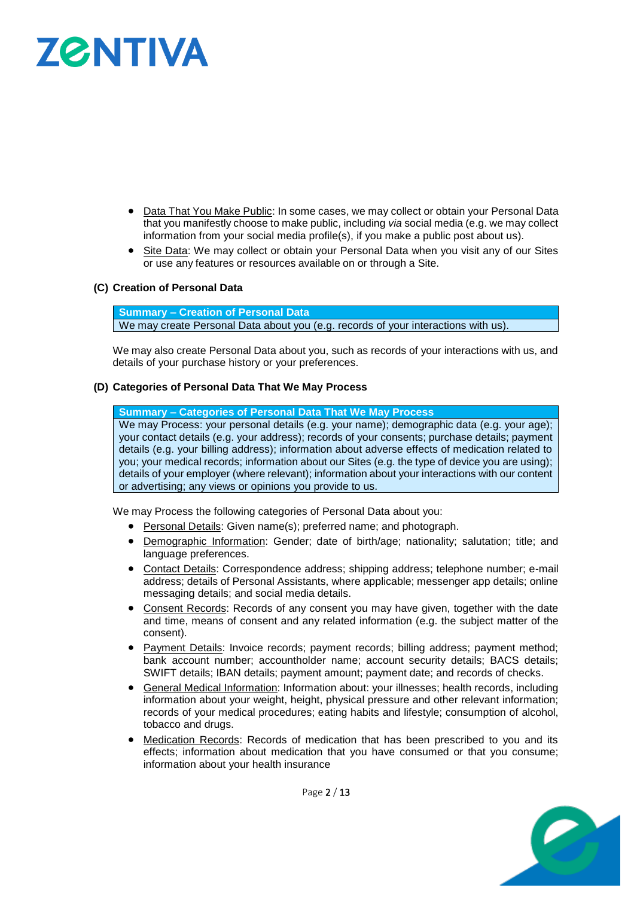# **ZØNTIVA**

- Data That You Make Public: In some cases, we may collect or obtain your Personal Data that you manifestly choose to make public, including *via* social media (e.g. we may collect information from your social media profile(s), if you make a public post about us).
- Site Data: We may collect or obtain your Personal Data when you visit any of our Sites or use any features or resources available on or through a Site.

# **(C) Creation of Personal Data**

**Summary – Creation of Personal Data** We may create Personal Data about you (e.g. records of your interactions with us).

We may also create Personal Data about you, such as records of your interactions with us, and details of your purchase history or your preferences.

## **(D) Categories of Personal Data That We May Process**

**Summary – Categories of Personal Data That We May Process**

We may Process: your personal details (e.g. your name); demographic data (e.g. your age); your contact details (e.g. your address); records of your consents; purchase details; payment details (e.g. your billing address); information about adverse effects of medication related to you; your medical records; information about our Sites (e.g. the type of device you are using); details of your employer (where relevant); information about your interactions with our content or advertising; any views or opinions you provide to us.

We may Process the following categories of Personal Data about you:

- Personal Details: Given name(s); preferred name; and photograph.
- Demographic Information: Gender; date of birth/age; nationality; salutation; title; and language preferences.
- Contact Details: Correspondence address; shipping address; telephone number; e-mail address; details of Personal Assistants, where applicable; messenger app details; online messaging details; and social media details.
- Consent Records: Records of any consent you may have given, together with the date and time, means of consent and any related information (e.g. the subject matter of the consent).
- Payment Details: Invoice records; payment records; billing address; payment method; bank account number; accountholder name; account security details; BACS details; SWIFT details; IBAN details; payment amount; payment date; and records of checks.
- General Medical Information: Information about: your illnesses; health records, including information about your weight, height, physical pressure and other relevant information; records of your medical procedures; eating habits and lifestyle; consumption of alcohol, tobacco and drugs.
- Medication Records: Records of medication that has been prescribed to you and its effects; information about medication that you have consumed or that you consume; information about your health insurance

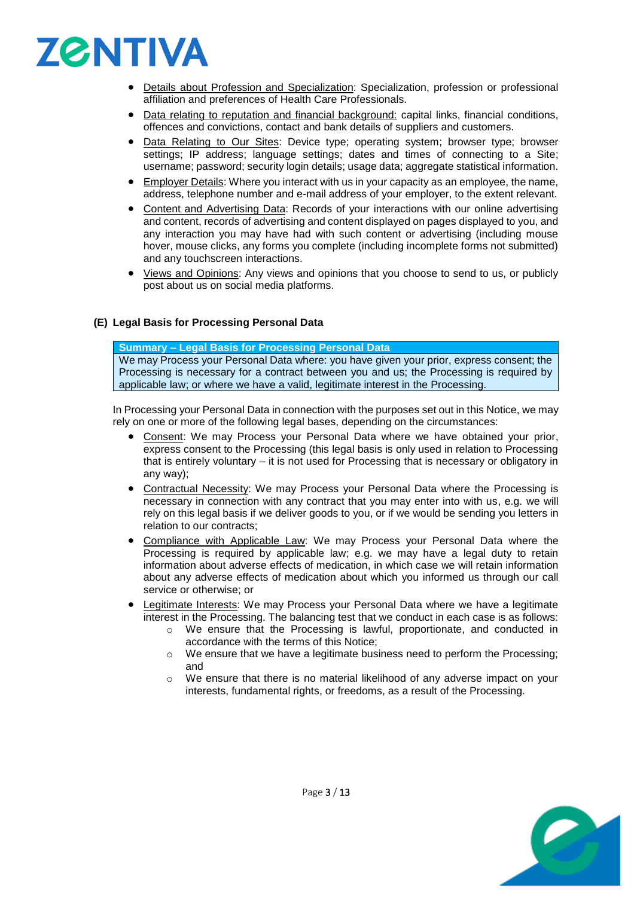

- Details about Profession and Specialization: Specialization, profession or professional affiliation and preferences of Health Care Professionals.
- Data relating to reputation and financial background: capital links, financial conditions, offences and convictions, contact and bank details of suppliers and customers.
- Data Relating to Our Sites: Device type; operating system; browser type; browser settings; IP address; language settings; dates and times of connecting to a Site; username; password; security login details; usage data; aggregate statistical information.
- Employer Details: Where you interact with us in your capacity as an employee, the name, address, telephone number and e-mail address of your employer, to the extent relevant.
- Content and Advertising Data: Records of your interactions with our online advertising and content, records of advertising and content displayed on pages displayed to you, and any interaction you may have had with such content or advertising (including mouse hover, mouse clicks, any forms you complete (including incomplete forms not submitted) and any touchscreen interactions.
- Views and Opinions: Any views and opinions that you choose to send to us, or publicly post about us on social media platforms.

# **(E) Legal Basis for Processing Personal Data**

#### **Summary – Legal Basis for Processing Personal Data**

We may Process your Personal Data where: you have given your prior, express consent; the Processing is necessary for a contract between you and us; the Processing is required by applicable law; or where we have a valid, legitimate interest in the Processing.

In Processing your Personal Data in connection with the purposes set out in this Notice, we may rely on one or more of the following legal bases, depending on the circumstances:

- Consent: We may Process your Personal Data where we have obtained your prior, express consent to the Processing (this legal basis is only used in relation to Processing that is entirely voluntary – it is not used for Processing that is necessary or obligatory in any way);
- Contractual Necessity: We may Process your Personal Data where the Processing is necessary in connection with any contract that you may enter into with us, e.g. we will rely on this legal basis if we deliver goods to you, or if we would be sending you letters in relation to our contracts;
- Compliance with Applicable Law: We may Process your Personal Data where the Processing is required by applicable law; e.g. we may have a legal duty to retain information about adverse effects of medication, in which case we will retain information about any adverse effects of medication about which you informed us through our call service or otherwise; or
- Legitimate Interests: We may Process your Personal Data where we have a legitimate interest in the Processing. The balancing test that we conduct in each case is as follows:
	- o We ensure that the Processing is lawful, proportionate, and conducted in accordance with the terms of this Notice;
	- o We ensure that we have a legitimate business need to perform the Processing; and
	- $\circ$  We ensure that there is no material likelihood of any adverse impact on your interests, fundamental rights, or freedoms, as a result of the Processing.

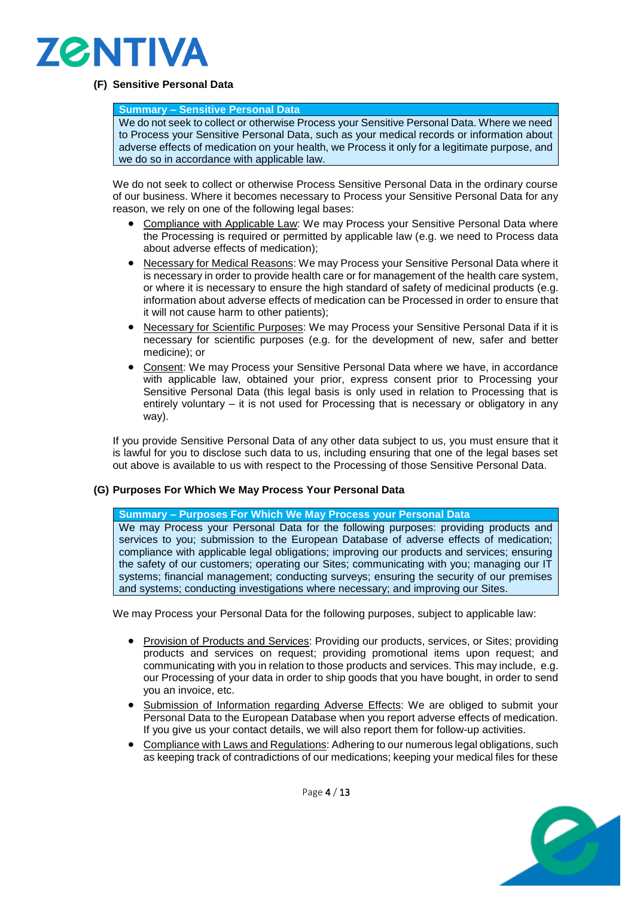

# **(F) Sensitive Personal Data**

#### **Summary – Sensitive Personal Data**

We do not seek to collect or otherwise Process your Sensitive Personal Data. Where we need to Process your Sensitive Personal Data, such as your medical records or information about adverse effects of medication on your health, we Process it only for a legitimate purpose, and we do so in accordance with applicable law.

We do not seek to collect or otherwise Process Sensitive Personal Data in the ordinary course of our business. Where it becomes necessary to Process your Sensitive Personal Data for any reason, we rely on one of the following legal bases:

- Compliance with Applicable Law: We may Process your Sensitive Personal Data where the Processing is required or permitted by applicable law (e.g. we need to Process data about adverse effects of medication);
- Necessary for Medical Reasons: We may Process your Sensitive Personal Data where it is necessary in order to provide health care or for management of the health care system, or where it is necessary to ensure the high standard of safety of medicinal products (e.g. information about adverse effects of medication can be Processed in order to ensure that it will not cause harm to other patients);
- Necessary for Scientific Purposes: We may Process your Sensitive Personal Data if it is necessary for scientific purposes (e.g. for the development of new, safer and better medicine); or
- Consent: We may Process your Sensitive Personal Data where we have, in accordance with applicable law, obtained your prior, express consent prior to Processing your Sensitive Personal Data (this legal basis is only used in relation to Processing that is entirely voluntary – it is not used for Processing that is necessary or obligatory in any way).

If you provide Sensitive Personal Data of any other data subject to us, you must ensure that it is lawful for you to disclose such data to us, including ensuring that one of the legal bases set out above is available to us with respect to the Processing of those Sensitive Personal Data.

# **(G) Purposes For Which We May Process Your Personal Data**

**Summary – Purposes For Which We May Process your Personal Data** We may Process your Personal Data for the following purposes: providing products and services to you; submission to the European Database of adverse effects of medication; compliance with applicable legal obligations; improving our products and services; ensuring the safety of our customers; operating our Sites; communicating with you; managing our IT systems; financial management; conducting surveys; ensuring the security of our premises and systems; conducting investigations where necessary; and improving our Sites.

We may Process your Personal Data for the following purposes, subject to applicable law:

- Provision of Products and Services: Providing our products, services, or Sites; providing products and services on request; providing promotional items upon request; and communicating with you in relation to those products and services. This may include, e.g. our Processing of your data in order to ship goods that you have bought, in order to send you an invoice, etc.
- Submission of Information regarding Adverse Effects: We are obliged to submit your Personal Data to the European Database when you report adverse effects of medication. If you give us your contact details, we will also report them for follow-up activities.
- Compliance with Laws and Regulations: Adhering to our numerous legal obligations, such as keeping track of contradictions of our medications; keeping your medical files for these



Page 4 / 13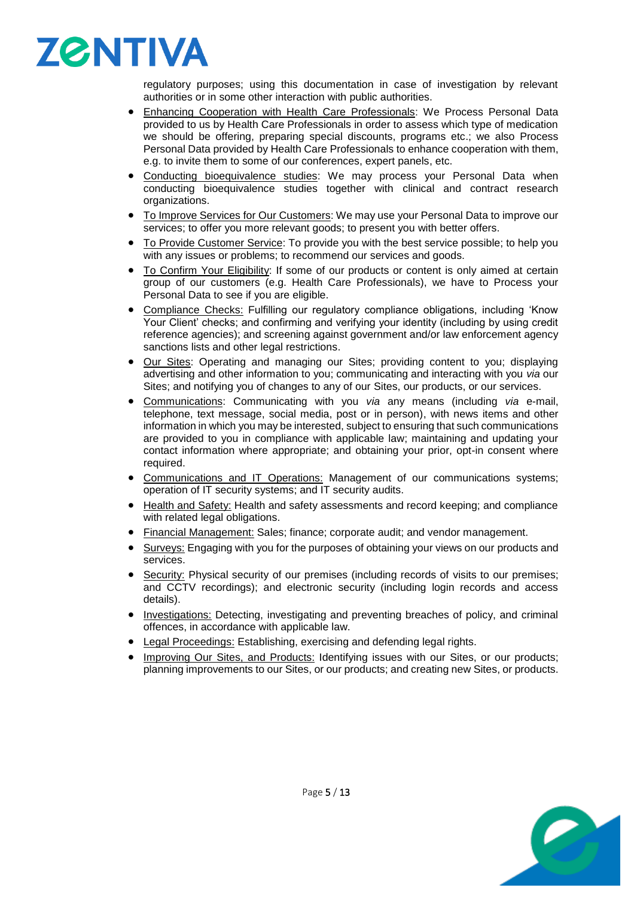

regulatory purposes; using this documentation in case of investigation by relevant authorities or in some other interaction with public authorities.

- **Enhancing Cooperation with Health Care Professionals: We Process Personal Data** provided to us by Health Care Professionals in order to assess which type of medication we should be offering, preparing special discounts, programs etc.; we also Process Personal Data provided by Health Care Professionals to enhance cooperation with them, e.g. to invite them to some of our conferences, expert panels, etc.
- Conducting bioequivalence studies: We may process your Personal Data when conducting bioequivalence studies together with clinical and contract research organizations.
- To Improve Services for Our Customers: We may use your Personal Data to improve our services; to offer you more relevant goods; to present you with better offers.
- To Provide Customer Service: To provide you with the best service possible; to help you with any issues or problems; to recommend our services and goods.
- To Confirm Your Eligibility: If some of our products or content is only aimed at certain group of our customers (e.g. Health Care Professionals), we have to Process your Personal Data to see if you are eligible.
- Compliance Checks: Fulfilling our regulatory compliance obligations, including 'Know Your Client' checks; and confirming and verifying your identity (including by using credit reference agencies); and screening against government and/or law enforcement agency sanctions lists and other legal restrictions.
- Our Sites: Operating and managing our Sites; providing content to you; displaying advertising and other information to you; communicating and interacting with you *via* our Sites; and notifying you of changes to any of our Sites, our products, or our services.
- Communications: Communicating with you *via* any means (including *via* e-mail, telephone, text message, social media, post or in person), with news items and other information in which you may be interested, subject to ensuring that such communications are provided to you in compliance with applicable law; maintaining and updating your contact information where appropriate; and obtaining your prior, opt-in consent where required.
- Communications and IT Operations: Management of our communications systems; operation of IT security systems; and IT security audits.
- Health and Safety: Health and safety assessments and record keeping; and compliance with related legal obligations.
- Financial Management: Sales; finance; corporate audit; and vendor management.
- Surveys: Engaging with you for the purposes of obtaining your views on our products and services.
- Security: Physical security of our premises (including records of visits to our premises; and CCTV recordings); and electronic security (including login records and access details).
- Investigations: Detecting, investigating and preventing breaches of policy, and criminal offences, in accordance with applicable law.
- Legal Proceedings: Establishing, exercising and defending legal rights.
- Improving Our Sites, and Products: Identifying issues with our Sites, or our products; planning improvements to our Sites, or our products; and creating new Sites, or products.

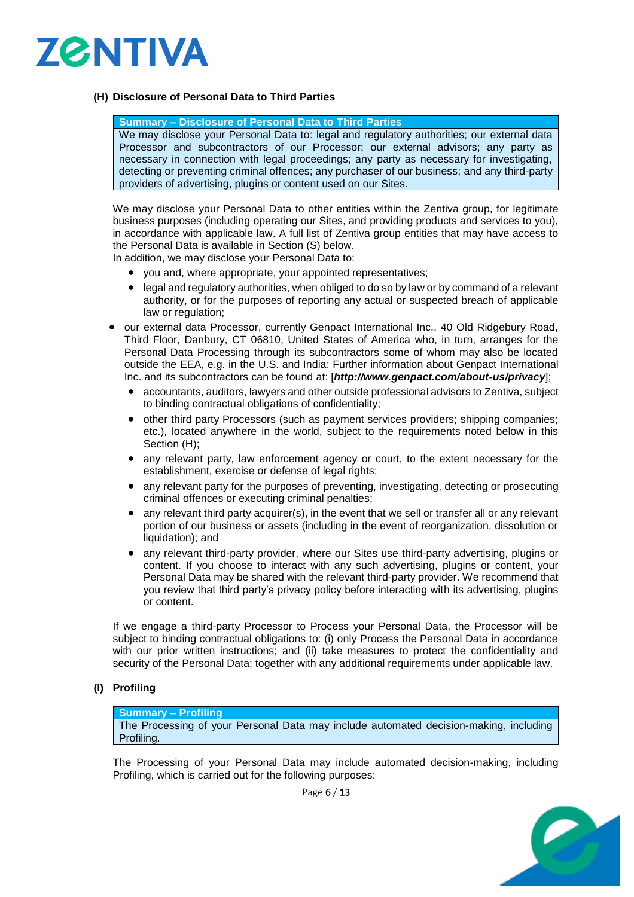

# <span id="page-5-0"></span>**(H) Disclosure of Personal Data to Third Parties**

## **Summary – Disclosure of Personal Data to Third Parties**

We may disclose your Personal Data to: legal and regulatory authorities; our external data Processor and subcontractors of our Processor; our external advisors; any party as necessary in connection with legal proceedings; any party as necessary for investigating, detecting or preventing criminal offences; any purchaser of our business; and any third-party providers of advertising, plugins or content used on our Sites.

We may disclose your Personal Data to other entities within the Zentiva group, for legitimate business purposes (including operating our Sites, and providing products and services to you), in accordance with applicable law. A full list of Zentiva group entities that may have access to the Personal Data is available in Section [\(S\)](#page-10-0) below.

In addition, we may disclose your Personal Data to:

- you and, where appropriate, your appointed representatives;
- legal and regulatory authorities, when obliged to do so by law or by command of a relevant authority, or for the purposes of reporting any actual or suspected breach of applicable law or regulation;
- our external data Processor, currently Genpact International Inc., 40 Old Ridgebury Road, Third Floor, Danbury, CT 06810, United States of America who, in turn, arranges for the Personal Data Processing through its subcontractors some of whom may also be located outside the EEA, e.g. in the U.S. and India: Further information about Genpact International Inc. and its subcontractors can be found at: [*http://www.genpact.com/about-us/privacy*];
	- accountants, auditors, lawyers and other outside professional advisors to Zentiva, subject to binding contractual obligations of confidentiality;
	- other third party Processors (such as payment services providers; shipping companies; etc.), located anywhere in the world, subject to the requirements noted below in this Section [\(H\);](#page-5-0)
	- any relevant party, law enforcement agency or court, to the extent necessary for the establishment, exercise or defense of legal rights;
	- any relevant party for the purposes of preventing, investigating, detecting or prosecuting criminal offences or executing criminal penalties;
	- any relevant third party acquirer(s), in the event that we sell or transfer all or any relevant portion of our business or assets (including in the event of reorganization, dissolution or liquidation); and
	- any relevant third-party provider, where our Sites use third-party advertising, plugins or content. If you choose to interact with any such advertising, plugins or content, your Personal Data may be shared with the relevant third-party provider. We recommend that you review that third party's privacy policy before interacting with its advertising, plugins or content.

If we engage a third-party Processor to Process your Personal Data, the Processor will be subject to binding contractual obligations to: (i) only Process the Personal Data in accordance with our prior written instructions; and (ii) take measures to protect the confidentiality and security of the Personal Data; together with any additional requirements under applicable law.

# **(I) Profiling**

## **Summary – Profiling**

The Processing of your Personal Data may include automated decision-making, including Profiling.

The Processing of your Personal Data may include automated decision-making, including Profiling, which is carried out for the following purposes:



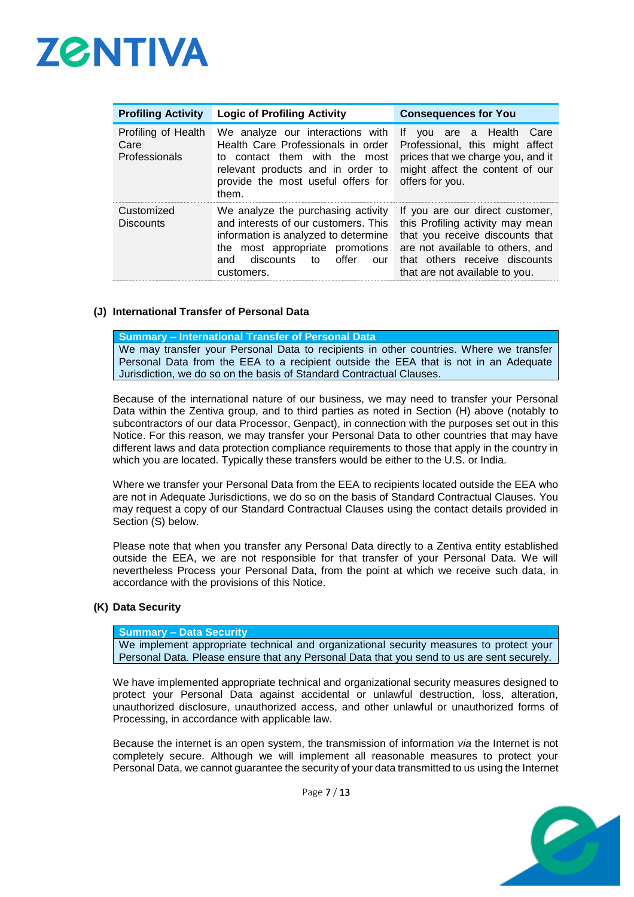

| <b>Profiling Activity</b>                    | <b>Logic of Profiling Activity</b>                                                                                                                                                                      | <b>Consequences for You</b>                                                                                                                                                                                   |  |
|----------------------------------------------|---------------------------------------------------------------------------------------------------------------------------------------------------------------------------------------------------------|---------------------------------------------------------------------------------------------------------------------------------------------------------------------------------------------------------------|--|
| Profiling of Health<br>Care<br>Professionals | We analyze our interactions with<br>Health Care Professionals in order<br>to contact them with the most<br>relevant products and in order to<br>provide the most useful offers for<br>them.             | vou are a Health Care<br>lf.<br>Professional, this might affect<br>prices that we charge you, and it<br>might affect the content of our<br>offers for you.                                                    |  |
| Customized<br><b>Discounts</b>               | We analyze the purchasing activity<br>and interests of our customers. This<br>information is analyzed to determine<br>the most appropriate promotions<br>discounts to offer<br>and<br>our<br>customers. | If you are our direct customer,<br>this Profiling activity may mean<br>that you receive discounts that<br>are not available to others, and<br>that others receive discounts<br>that are not available to you. |  |

## **(J) International Transfer of Personal Data**

**Summary – International Transfer of Personal Data** We may transfer your Personal Data to recipients in other countries. Where we transfer Personal Data from the EEA to a recipient outside the EEA that is not in an Adequate Jurisdiction, we do so on the basis of Standard Contractual Clauses.

Because of the international nature of our business, we may need to transfer your Personal Data within the Zentiva group, and to third parties as noted in Section [\(H\)](#page-5-0) above (notably to subcontractors of our data Processor, Genpact), in connection with the purposes set out in this Notice. For this reason, we may transfer your Personal Data to other countries that may have different laws and data protection compliance requirements to those that apply in the country in which you are located. Typically these transfers would be either to the U.S. or India.

Where we transfer your Personal Data from the EEA to recipients located outside the EEA who are not in Adequate Jurisdictions, we do so on the basis of Standard Contractual Clauses. You may request a copy of our Standard Contractual Clauses using the contact details provided in Section [\(S\)](#page-10-0) below.

Please note that when you transfer any Personal Data directly to a Zentiva entity established outside the EEA, we are not responsible for that transfer of your Personal Data. We will nevertheless Process your Personal Data, from the point at which we receive such data, in accordance with the provisions of this Notice.

#### **(K) Data Security**

**Summary – Data Security**

We implement appropriate technical and organizational security measures to protect your Personal Data. Please ensure that any Personal Data that you send to us are sent securely.

We have implemented appropriate technical and organizational security measures designed to protect your Personal Data against accidental or unlawful destruction, loss, alteration, unauthorized disclosure, unauthorized access, and other unlawful or unauthorized forms of Processing, in accordance with applicable law.

Because the internet is an open system, the transmission of information *via* the Internet is not completely secure. Although we will implement all reasonable measures to protect your Personal Data, we cannot guarantee the security of your data transmitted to us using the Internet



Page 7 / 13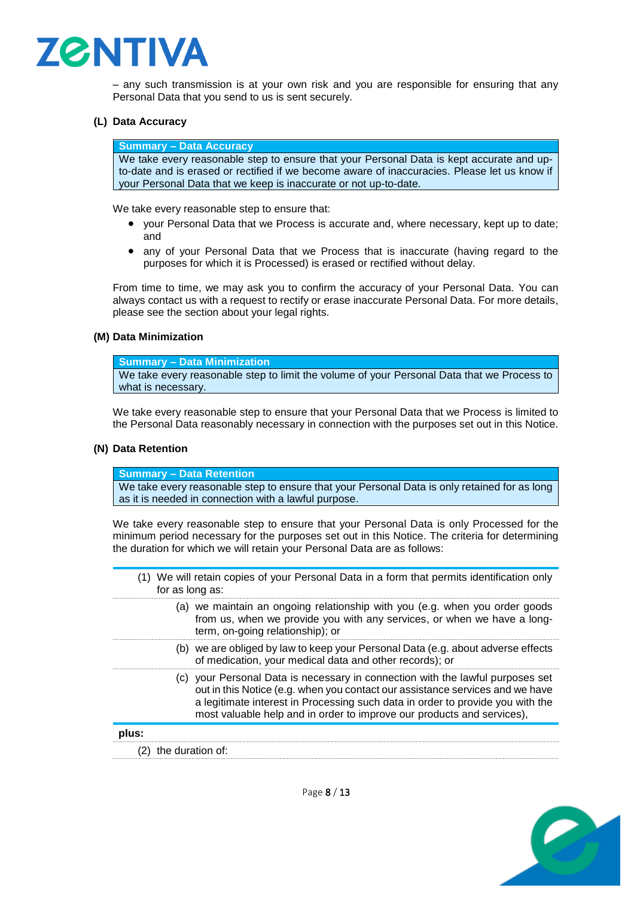

– any such transmission is at your own risk and you are responsible for ensuring that any Personal Data that you send to us is sent securely.

## **(L) Data Accuracy**

**Summary – Data Accuracy**

We take every reasonable step to ensure that your Personal Data is kept accurate and upto-date and is erased or rectified if we become aware of inaccuracies. Please let us know if your Personal Data that we keep is inaccurate or not up-to-date.

We take every reasonable step to ensure that:

- your Personal Data that we Process is accurate and, where necessary, kept up to date; and
- any of your Personal Data that we Process that is inaccurate (having regard to the purposes for which it is Processed) is erased or rectified without delay.

From time to time, we may ask you to confirm the accuracy of your Personal Data. You can always contact us with a request to rectify or erase inaccurate Personal Data. For more details, please see the section about your legal rights.

#### **(M) Data Minimization**

**Summary – Data Minimization**

We take every reasonable step to limit the volume of your Personal Data that we Process to what is necessary.

We take every reasonable step to ensure that your Personal Data that we Process is limited to the Personal Data reasonably necessary in connection with the purposes set out in this Notice.

#### **(N) Data Retention**

**Summary – Data Retention**

We take every reasonable step to ensure that your Personal Data is only retained for as long as it is needed in connection with a lawful purpose.

We take every reasonable step to ensure that your Personal Data is only Processed for the minimum period necessary for the purposes set out in this Notice. The criteria for determining the duration for which we will retain your Personal Data are as follows:

<span id="page-7-1"></span><span id="page-7-0"></span>

| for as long as:  | (1) We will retain copies of your Personal Data in a form that permits identification only                                                                                                                                                                                                                                  |
|------------------|-----------------------------------------------------------------------------------------------------------------------------------------------------------------------------------------------------------------------------------------------------------------------------------------------------------------------------|
|                  | (a) we maintain an ongoing relationship with you (e.g. when you order goods<br>from us, when we provide you with any services, or when we have a long-<br>term, on-going relationship); or                                                                                                                                  |
|                  | (b) we are obliged by law to keep your Personal Data (e.g. about adverse effects<br>of medication, your medical data and other records); or                                                                                                                                                                                 |
|                  | (c) your Personal Data is necessary in connection with the lawful purposes set<br>out in this Notice (e.g. when you contact our assistance services and we have<br>a legitimate interest in Processing such data in order to provide you with the<br>most valuable help and in order to improve our products and services), |
| plus:            |                                                                                                                                                                                                                                                                                                                             |
| the duration of: |                                                                                                                                                                                                                                                                                                                             |

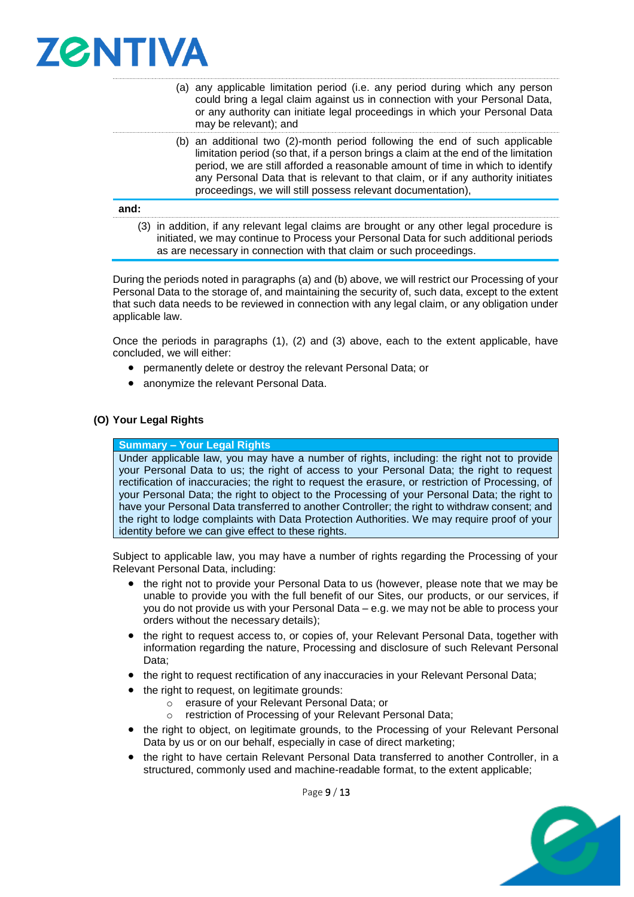

- <span id="page-8-0"></span>(a) any applicable limitation period (i.e. any period during which any person could bring a legal claim against us in connection with your Personal Data, or any authority can initiate legal proceedings in which your Personal Data may be relevant); and
- <span id="page-8-1"></span>(b) an additional two (2)-month period following the end of such applicable limitation period (so that, if a person brings a claim at the end of the limitation period, we are still afforded a reasonable amount of time in which to identify any Personal Data that is relevant to that claim, or if any authority initiates proceedings, we will still possess relevant documentation),

#### <span id="page-8-2"></span>**and:**

(3) in addition, if any relevant legal claims are brought or any other legal procedure is initiated, we may continue to Process your Personal Data for such additional periods as are necessary in connection with that claim or such proceedings.

During the periods noted in paragraphs [\(a\)](#page-8-0) and [\(b\)](#page-8-1) above, we will restrict our Processing of your Personal Data to the storage of, and maintaining the security of, such data, except to the extent that such data needs to be reviewed in connection with any legal claim, or any obligation under applicable law.

Once the periods in paragraphs [\(1\),](#page-7-0) [\(2\)](#page-7-1) and [\(3\)](#page-8-2) above, each to the extent applicable, have concluded, we will either:

- permanently delete or destroy the relevant Personal Data; or
- anonymize the relevant Personal Data.

## **(O) Your Legal Rights**

#### **Summary – Your Legal Rights**

Under applicable law, you may have a number of rights, including: the right not to provide your Personal Data to us; the right of access to your Personal Data; the right to request rectification of inaccuracies; the right to request the erasure, or restriction of Processing, of your Personal Data; the right to object to the Processing of your Personal Data; the right to have your Personal Data transferred to another Controller; the right to withdraw consent; and the right to lodge complaints with Data Protection Authorities. We may require proof of your identity before we can give effect to these rights.

Subject to applicable law, you may have a number of rights regarding the Processing of your Relevant Personal Data, including:

- the right not to provide your Personal Data to us (however, please note that we may be unable to provide you with the full benefit of our Sites, our products, or our services, if you do not provide us with your Personal Data – e.g. we may not be able to process your orders without the necessary details);
- the right to request access to, or copies of, your Relevant Personal Data, together with information regarding the nature, Processing and disclosure of such Relevant Personal Data;
- the right to request rectification of any inaccuracies in your Relevant Personal Data;
- the right to request, on legitimate grounds:
	- o erasure of your Relevant Personal Data; or
		- o restriction of Processing of your Relevant Personal Data;
- the right to object, on legitimate grounds, to the Processing of your Relevant Personal Data by us or on our behalf, especially in case of direct marketing;
- the right to have certain Relevant Personal Data transferred to another Controller, in a structured, commonly used and machine-readable format, to the extent applicable;

Page 9 / 13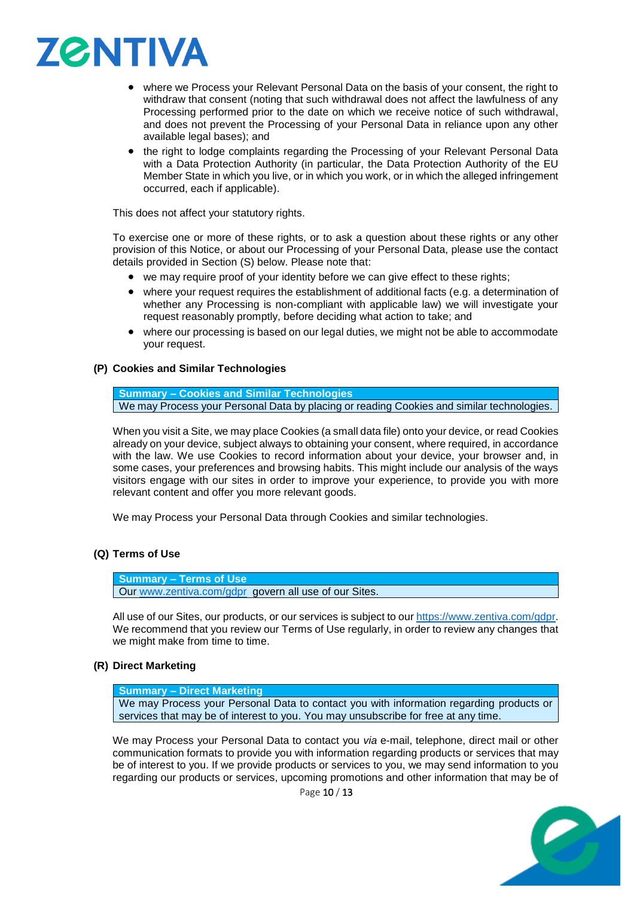

- where we Process your Relevant Personal Data on the basis of your consent, the right to withdraw that consent (noting that such withdrawal does not affect the lawfulness of any Processing performed prior to the date on which we receive notice of such withdrawal, and does not prevent the Processing of your Personal Data in reliance upon any other available legal bases); and
- the right to lodge complaints regarding the Processing of your Relevant Personal Data with a Data Protection Authority (in particular, the Data Protection Authority of the EU Member State in which you live, or in which you work, or in which the alleged infringement occurred, each if applicable).

This does not affect your statutory rights.

To exercise one or more of these rights, or to ask a question about these rights or any other provision of this Notice, or about our Processing of your Personal Data, please use the contact details provided in Section [\(S\)](#page-10-0) below. Please note that:

- we may require proof of your identity before we can give effect to these rights;
- where your request requires the establishment of additional facts (e.g. a determination of whether any Processing is non-compliant with applicable law) we will investigate your request reasonably promptly, before deciding what action to take; and
- where our processing is based on our legal duties, we might not be able to accommodate your request.

# **(P) Cookies and Similar Technologies**

**Summary – Cookies and Similar Technologies** We may Process your Personal Data by placing or reading Cookies and similar technologies.

When you visit a Site, we may place Cookies (a small data file) onto your device, or read Cookies already on your device, subject always to obtaining your consent, where required, in accordance with the law. We use Cookies to record information about your device, your browser and, in some cases, your preferences and browsing habits. This might include our analysis of the ways visitors engage with our sites in order to improve your experience, to provide you with more relevant content and offer you more relevant goods.

We may Process your Personal Data through Cookies and similar technologies.

# **(Q) Terms of Use**

**Summary – Terms of Use** Our [www.zentiva.com/gdpr](http://www.zentiva.com/gdpr) govern all use of our Sites.

All use of our Sites, our products, or our services is subject to our [https://www.zentiva.com/gdpr.](https://www.zentiva.com/gdpr) We recommend that you review our Terms of Use regularly, in order to review any changes that we might make from time to time.

# **(R) Direct Marketing**

**Summary – Direct Marketing**

We may Process your Personal Data to contact you with information regarding products or services that may be of interest to you. You may unsubscribe for free at any time.

We may Process your Personal Data to contact you *via* e-mail, telephone, direct mail or other communication formats to provide you with information regarding products or services that may be of interest to you. If we provide products or services to you, we may send information to you regarding our products or services, upcoming promotions and other information that may be of

Page 10 / 13

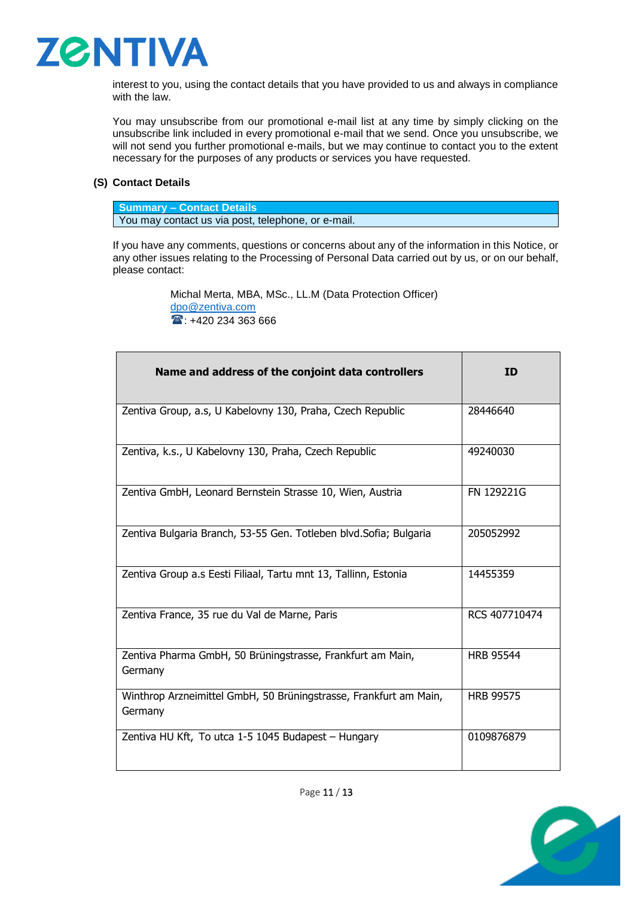

interest to you, using the contact details that you have provided to us and always in compliance with the law.

You may unsubscribe from our promotional e-mail list at any time by simply clicking on the unsubscribe link included in every promotional e-mail that we send. Once you unsubscribe, we will not send you further promotional e-mails, but we may continue to contact you to the extent necessary for the purposes of any products or services you have requested.

# <span id="page-10-0"></span>**(S) Contact Details**

**Summary – Contact Details** You may contact us via post, telephone, or e-mail.

If you have any comments, questions or concerns about any of the information in this Notice, or any other issues relating to the Processing of Personal Data carried out by us, or on our behalf, please contact:

> Michal Merta, MBA, MSc., LL.M (Data Protection Officer) [dpo@zentiva.com](mailto:dpo@zentiva.com) 1 +420 234 363 666

| Name and address of the conjoint data controllers                            | <b>ID</b>        |
|------------------------------------------------------------------------------|------------------|
| Zentiva Group, a.s, U Kabelovny 130, Praha, Czech Republic                   | 28446640         |
| Zentiva, k.s., U Kabelovny 130, Praha, Czech Republic                        | 49240030         |
| Zentiva GmbH, Leonard Bernstein Strasse 10, Wien, Austria                    | FN 129221G       |
| Zentiva Bulgaria Branch, 53-55 Gen. Totleben blvd. Sofia; Bulgaria           | 205052992        |
| Zentiva Group a.s Eesti Filiaal, Tartu mnt 13, Tallinn, Estonia              | 14455359         |
| Zentiva France, 35 rue du Val de Marne, Paris                                | RCS 407710474    |
| Zentiva Pharma GmbH, 50 Brüningstrasse, Frankfurt am Main,<br>Germany        | <b>HRB 95544</b> |
| Winthrop Arzneimittel GmbH, 50 Brüningstrasse, Frankfurt am Main,<br>Germany | <b>HRB 99575</b> |
| Zentiva HU Kft, To utca 1-5 1045 Budapest - Hungary                          | 0109876879       |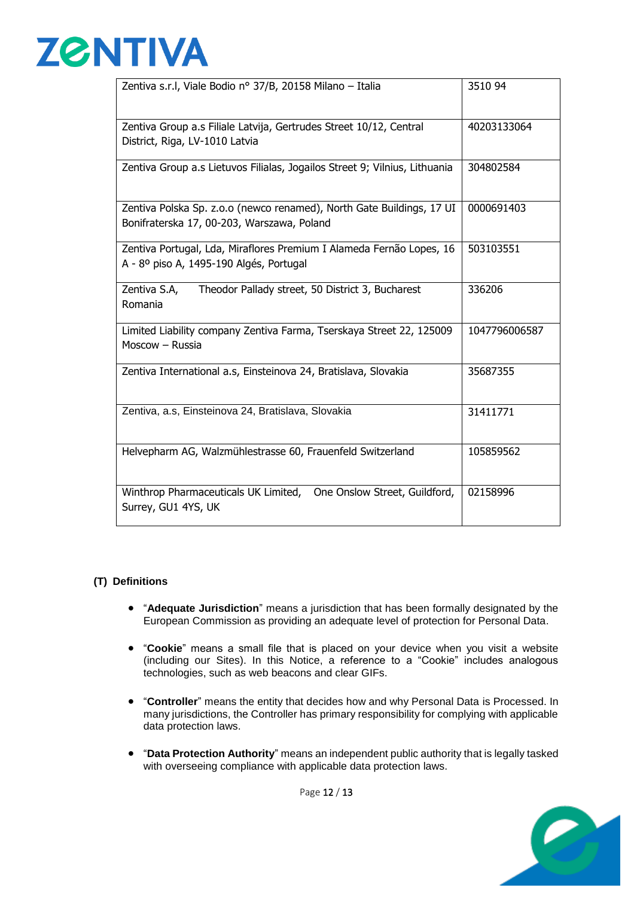

| Zentiva s.r.l, Viale Bodio nº 37/B, 20158 Milano - Italia                                                           | 3510 94       |
|---------------------------------------------------------------------------------------------------------------------|---------------|
| Zentiva Group a.s Filiale Latvija, Gertrudes Street 10/12, Central<br>District, Riga, LV-1010 Latvia                | 40203133064   |
| Zentiva Group a.s Lietuvos Filialas, Jogailos Street 9; Vilnius, Lithuania                                          | 304802584     |
| Zentiva Polska Sp. z.o.o (newco renamed), North Gate Buildings, 17 UI<br>Bonifraterska 17, 00-203, Warszawa, Poland | 0000691403    |
| Zentiva Portugal, Lda, Miraflores Premium I Alameda Fernão Lopes, 16<br>A - 8º piso A, 1495-190 Algés, Portugal     | 503103551     |
| Zentiva S.A,<br>Theodor Pallady street, 50 District 3, Bucharest<br>Romania                                         | 336206        |
| Limited Liability company Zentiva Farma, Tserskaya Street 22, 125009<br>Moscow - Russia                             | 1047796006587 |
| Zentiva International a.s, Einsteinova 24, Bratislava, Slovakia                                                     | 35687355      |
| Zentiva, a.s, Einsteinova 24, Bratislava, Slovakia                                                                  | 31411771      |
| Helvepharm AG, Walzmühlestrasse 60, Frauenfeld Switzerland                                                          | 105859562     |
| Winthrop Pharmaceuticals UK Limited, One Onslow Street, Guildford,<br>Surrey, GU1 4YS, UK                           | 02158996      |

# <span id="page-11-0"></span>**(T) Definitions**

- "**Adequate Jurisdiction**" means a jurisdiction that has been formally designated by the European Commission as providing an adequate level of protection for Personal Data.
- "**Cookie**" means a small file that is placed on your device when you visit a website (including our Sites). In this Notice, a reference to a "Cookie" includes analogous technologies, such as web beacons and clear GIFs.
- "**Controller**" means the entity that decides how and why Personal Data is Processed. In many jurisdictions, the Controller has primary responsibility for complying with applicable data protection laws.
- "**Data Protection Authority**" means an independent public authority that is legally tasked with overseeing compliance with applicable data protection laws.